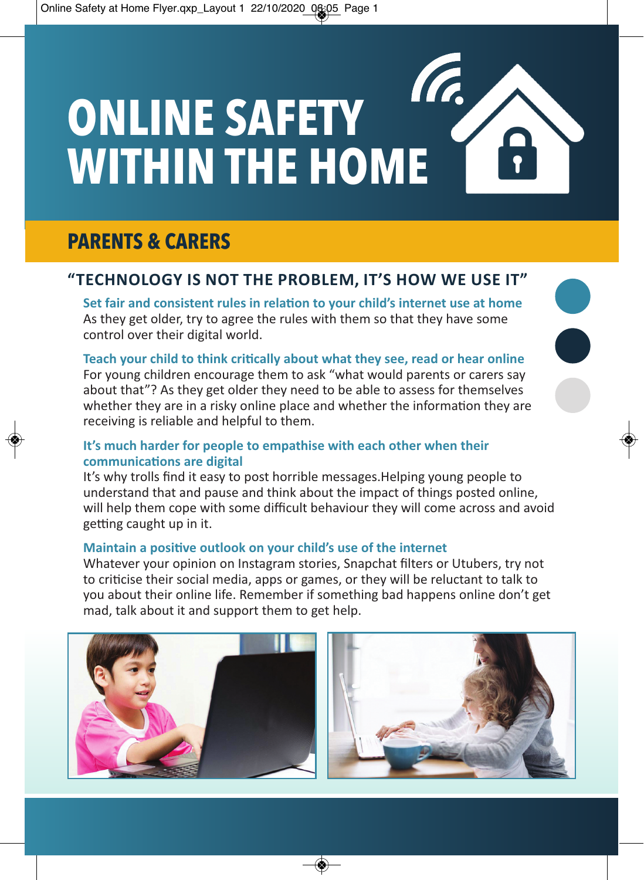# **ONLINE SAFETY WITHIN THE HOME**



# **"Technology is noT The problem, iT's how we use iT"**

**set fair and consistent rules in relation to your child's internet use at home** As they get older, try to agree the rules with them so that they have some control over their digital world.

**Teach your child to think critically about what they see, read or hear online** For young children encourage them to ask "what would parents or carers say about that"? As they get older they need to be able to assess for themselves whether they are in a risky online place and whether the information they are receiving is reliable and helpful to them.

# **it's much harder for people to empathise with each other when their communications are digital**

It's why trolls find it easy to post horrible messages.Helping young people to understand that and pause and think about the impact of things posted online, will help them cope with some difficult behaviour they will come across and avoid getting caught up in it.

## **maintain a positive outlook on your child's use of the internet**

Whatever your opinion on Instagram stories, Snapchat filters or Utubers, try not to criticise their social media, apps or games, or they will be reluctant to talk to you about their online life. Remember if something bad happens online don't get mad, talk about it and support them to get help.